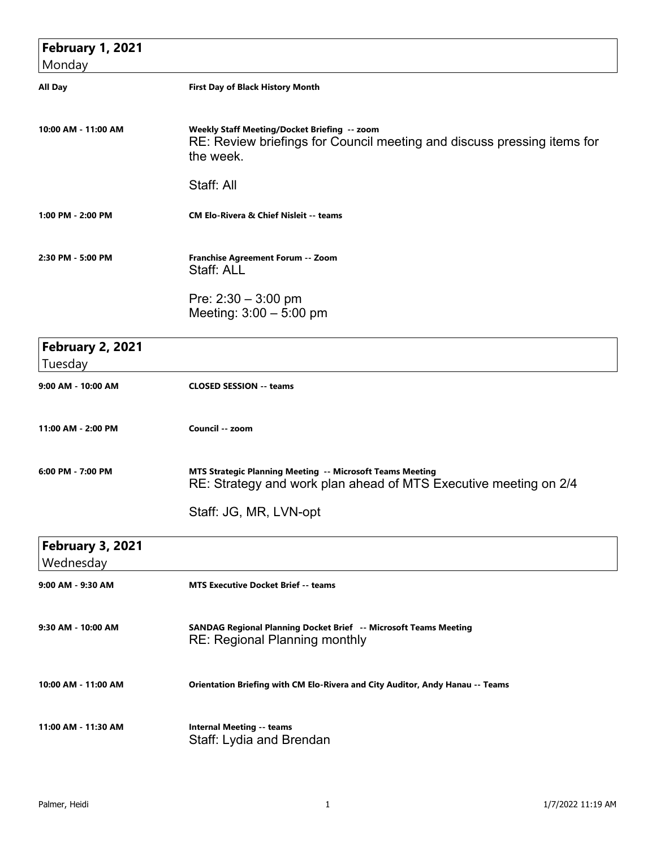| <b>February 1, 2021</b>              |                                                                                                                                      |
|--------------------------------------|--------------------------------------------------------------------------------------------------------------------------------------|
| Monday                               |                                                                                                                                      |
| <b>All Day</b>                       | <b>First Day of Black History Month</b>                                                                                              |
| 10:00 AM - 11:00 AM                  | Weekly Staff Meeting/Docket Briefing -- zoom<br>RE: Review briefings for Council meeting and discuss pressing items for<br>the week. |
|                                      | Staff: All                                                                                                                           |
| 1:00 PM - 2:00 PM                    | <b>CM Elo-Rivera &amp; Chief Nisleit -- teams</b>                                                                                    |
| 2:30 PM - 5:00 PM                    | Franchise Agreement Forum -- Zoom<br>Staff: ALL                                                                                      |
|                                      | Pre: $2:30 - 3:00$ pm<br>Meeting: $3:00 - 5:00$ pm                                                                                   |
| <b>February 2, 2021</b><br>Tuesday   |                                                                                                                                      |
| 9:00 AM - 10:00 AM                   | <b>CLOSED SESSION -- teams</b>                                                                                                       |
| 11:00 AM - 2:00 PM                   | Council -- zoom                                                                                                                      |
| 6:00 PM - 7:00 PM                    | MTS Strategic Planning Meeting -- Microsoft Teams Meeting<br>RE: Strategy and work plan ahead of MTS Executive meeting on 2/4        |
|                                      | Staff: JG, MR, LVN-opt                                                                                                               |
| <b>February 3, 2021</b><br>Wednesday |                                                                                                                                      |
| 9:00 AM - 9:30 AM                    | <b>MTS Executive Docket Brief -- teams</b>                                                                                           |
| 9:30 AM - 10:00 AM                   | SANDAG Regional Planning Docket Brief -- Microsoft Teams Meeting<br><b>RE: Regional Planning monthly</b>                             |
| 10:00 AM - 11:00 AM                  | Orientation Briefing with CM Elo-Rivera and City Auditor, Andy Hanau -- Teams                                                        |
| 11:00 AM - 11:30 AM                  | <b>Internal Meeting -- teams</b><br>Staff: Lydia and Brendan                                                                         |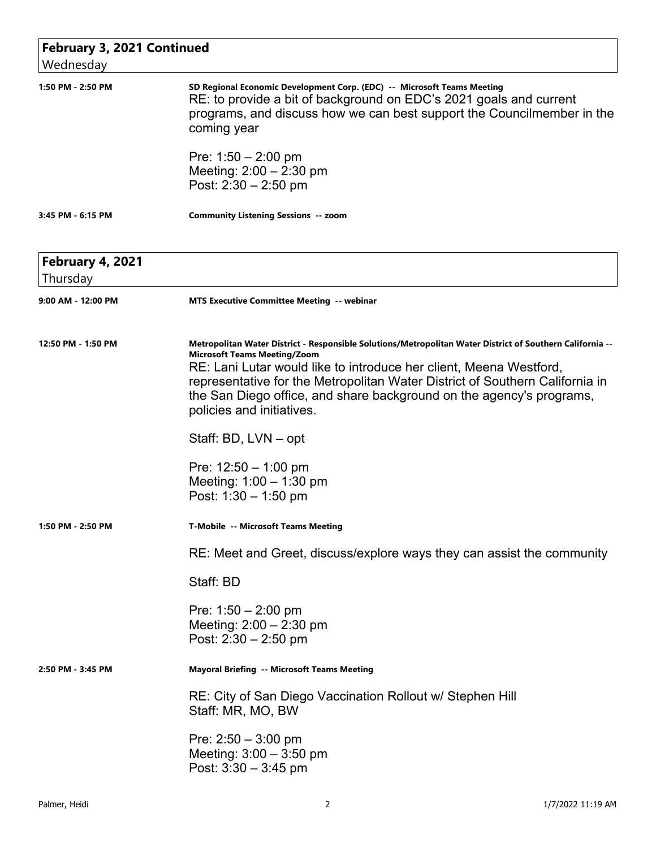| <b>February 3, 2021 Continued</b><br>Wednesday |                                                                                                                                                                                                                                                                                                                                                                                                                                                                                                                      |
|------------------------------------------------|----------------------------------------------------------------------------------------------------------------------------------------------------------------------------------------------------------------------------------------------------------------------------------------------------------------------------------------------------------------------------------------------------------------------------------------------------------------------------------------------------------------------|
| 1:50 PM - 2:50 PM                              | SD Regional Economic Development Corp. (EDC) -- Microsoft Teams Meeting<br>RE: to provide a bit of background on EDC's 2021 goals and current<br>programs, and discuss how we can best support the Councilmember in the<br>coming year<br>Pre: $1:50 - 2:00$ pm<br>Meeting: $2:00 - 2:30$ pm<br>Post: $2:30 - 2:50$ pm                                                                                                                                                                                               |
| 3:45 PM - 6:15 PM                              | <b>Community Listening Sessions -- zoom</b>                                                                                                                                                                                                                                                                                                                                                                                                                                                                          |
| <b>February 4, 2021</b><br>Thursday            |                                                                                                                                                                                                                                                                                                                                                                                                                                                                                                                      |
| 9:00 AM - 12:00 PM                             | <b>MTS Executive Committee Meeting -- webinar</b>                                                                                                                                                                                                                                                                                                                                                                                                                                                                    |
| 12:50 PM - 1:50 PM                             | Metropolitan Water District - Responsible Solutions/Metropolitan Water District of Southern California --<br><b>Microsoft Teams Meeting/Zoom</b><br>RE: Lani Lutar would like to introduce her client, Meena Westford,<br>representative for the Metropolitan Water District of Southern California in<br>the San Diego office, and share background on the agency's programs,<br>policies and initiatives.<br>Staff: BD, LVN – opt<br>Pre: $12:50 - 1:00$ pm<br>Meeting: $1:00 - 1:30$ pm<br>Post: $1:30 - 1:50$ pm |
| 1:50 PM - 2:50 PM                              | T-Mobile -- Microsoft Teams Meeting                                                                                                                                                                                                                                                                                                                                                                                                                                                                                  |
|                                                | RE: Meet and Greet, discuss/explore ways they can assist the community                                                                                                                                                                                                                                                                                                                                                                                                                                               |
|                                                | Staff: BD                                                                                                                                                                                                                                                                                                                                                                                                                                                                                                            |
|                                                | Pre: $1:50 - 2:00$ pm<br>Meeting: $2:00 - 2:30$ pm<br>Post: $2:30 - 2:50$ pm                                                                                                                                                                                                                                                                                                                                                                                                                                         |
| 2:50 PM - 3:45 PM                              | <b>Mayoral Briefing -- Microsoft Teams Meeting</b>                                                                                                                                                                                                                                                                                                                                                                                                                                                                   |
|                                                | RE: City of San Diego Vaccination Rollout w/ Stephen Hill<br>Staff: MR, MO, BW<br>Pre: $2:50 - 3:00$ pm<br>Meeting: $3:00 - 3:50$ pm<br>Post: $3:30 - 3:45$ pm                                                                                                                                                                                                                                                                                                                                                       |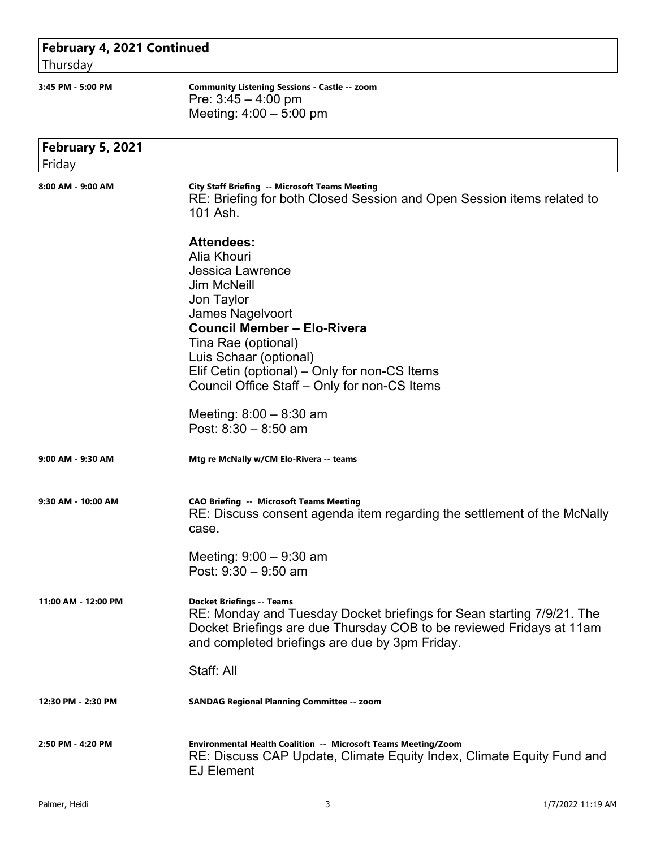| February 4, 2021 Continued        |                                                                                                                                                                                                                                                                                                                                          |
|-----------------------------------|------------------------------------------------------------------------------------------------------------------------------------------------------------------------------------------------------------------------------------------------------------------------------------------------------------------------------------------|
| Thursday                          |                                                                                                                                                                                                                                                                                                                                          |
| 3:45 PM - 5:00 PM                 | <b>Community Listening Sessions - Castle -- zoom</b><br>Pre: $3:45 - 4:00$ pm<br>Meeting: $4:00 - 5:00$ pm                                                                                                                                                                                                                               |
| <b>February 5, 2021</b><br>Friday |                                                                                                                                                                                                                                                                                                                                          |
| 8:00 AM - 9:00 AM                 | <b>City Staff Briefing -- Microsoft Teams Meeting</b><br>RE: Briefing for both Closed Session and Open Session items related to<br>101 Ash.                                                                                                                                                                                              |
|                                   | <b>Attendees:</b><br>Alia Khouri<br><b>Jessica Lawrence</b><br><b>Jim McNeill</b><br>Jon Taylor<br>James Nagelvoort<br><b>Council Member - Elo-Rivera</b><br>Tina Rae (optional)<br>Luis Schaar (optional)<br>Elif Cetin (optional) – Only for non-CS Items<br>Council Office Staff - Only for non-CS Items<br>Meeting: $8:00 - 8:30$ am |
| 9:00 AM - 9:30 AM                 | Post: $8:30 - 8:50$ am<br>Mtg re McNally w/CM Elo-Rivera -- teams                                                                                                                                                                                                                                                                        |
|                                   |                                                                                                                                                                                                                                                                                                                                          |
| 9:30 AM - 10:00 AM                | <b>CAO Briefing -- Microsoft Teams Meeting</b><br>RE: Discuss consent agenda item regarding the settlement of the McNally<br>case.<br>Meeting: $9:00 - 9:30$ am<br>Post: $9:30 - 9:50$ am                                                                                                                                                |
| 11:00 AM - 12:00 PM               | <b>Docket Briefings -- Teams</b><br>RE: Monday and Tuesday Docket briefings for Sean starting 7/9/21. The<br>Docket Briefings are due Thursday COB to be reviewed Fridays at 11am<br>and completed briefings are due by 3pm Friday.<br>Staff: All                                                                                        |
| 12:30 PM - 2:30 PM                | <b>SANDAG Regional Planning Committee -- zoom</b>                                                                                                                                                                                                                                                                                        |
| 2:50 PM - 4:20 PM                 | Environmental Health Coalition -- Microsoft Teams Meeting/Zoom<br>RE: Discuss CAP Update, Climate Equity Index, Climate Equity Fund and<br><b>EJ Element</b>                                                                                                                                                                             |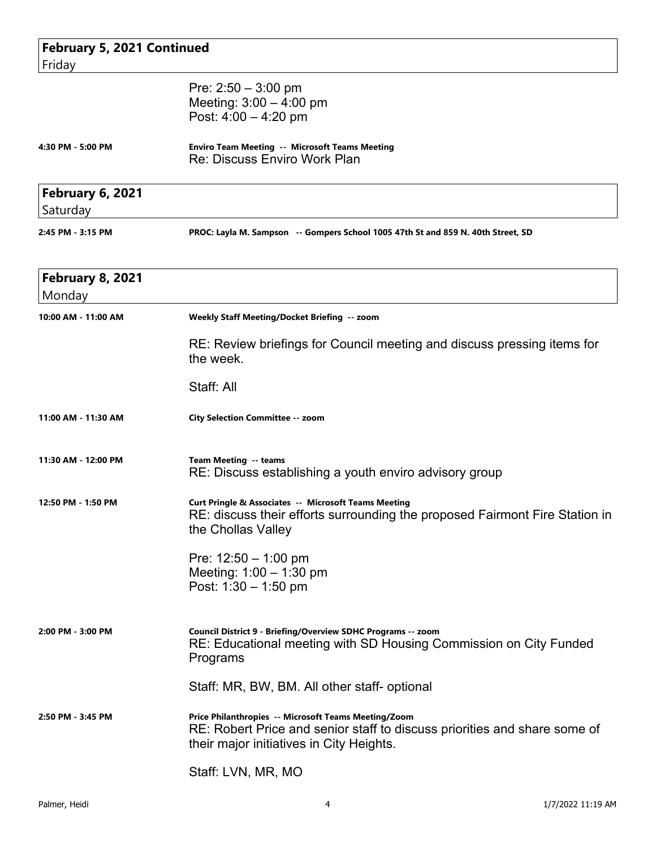| February 5, 2021 Continued          |                                                                                                                                                                               |
|-------------------------------------|-------------------------------------------------------------------------------------------------------------------------------------------------------------------------------|
| Friday                              |                                                                                                                                                                               |
|                                     | Pre: $2:50 - 3:00$ pm<br>Meeting: $3:00 - 4:00$ pm<br>Post: $4:00 - 4:20$ pm                                                                                                  |
| 4:30 PM - 5:00 PM                   | <b>Enviro Team Meeting -- Microsoft Teams Meeting</b><br>Re: Discuss Enviro Work Plan                                                                                         |
| <b>February 6, 2021</b><br>Saturday |                                                                                                                                                                               |
| 2:45 PM - 3:15 PM                   | PROC: Layla M. Sampson -- Gompers School 1005 47th St and 859 N. 40th Street, SD                                                                                              |
| <b>February 8, 2021</b><br>Monday   |                                                                                                                                                                               |
| 10:00 AM - 11:00 AM                 | Weekly Staff Meeting/Docket Briefing -- zoom                                                                                                                                  |
|                                     | RE: Review briefings for Council meeting and discuss pressing items for<br>the week.                                                                                          |
|                                     | Staff: All                                                                                                                                                                    |
| 11:00 AM - 11:30 AM                 | <b>City Selection Committee -- zoom</b>                                                                                                                                       |
| 11:30 AM - 12:00 PM                 | Team Meeting -- teams<br>RE: Discuss establishing a youth enviro advisory group                                                                                               |
| 12:50 PM - 1:50 PM                  | <b>Curt Pringle &amp; Associates -- Microsoft Teams Meeting</b><br>RE: discuss their efforts surrounding the proposed Fairmont Fire Station in<br>the Chollas Valley          |
|                                     | Pre: $12:50 - 1:00$ pm<br>Meeting: 1:00 - 1:30 pm<br>Post: $1:30 - 1:50$ pm                                                                                                   |
| 2:00 PM - 3:00 PM                   | Council District 9 - Briefing/Overview SDHC Programs -- zoom<br>RE: Educational meeting with SD Housing Commission on City Funded<br>Programs                                 |
|                                     | Staff: MR, BW, BM. All other staff- optional                                                                                                                                  |
| 2:50 PM - 3:45 PM                   | Price Philanthropies -- Microsoft Teams Meeting/Zoom<br>RE: Robert Price and senior staff to discuss priorities and share some of<br>their major initiatives in City Heights. |
|                                     | Staff: LVN, MR, MO                                                                                                                                                            |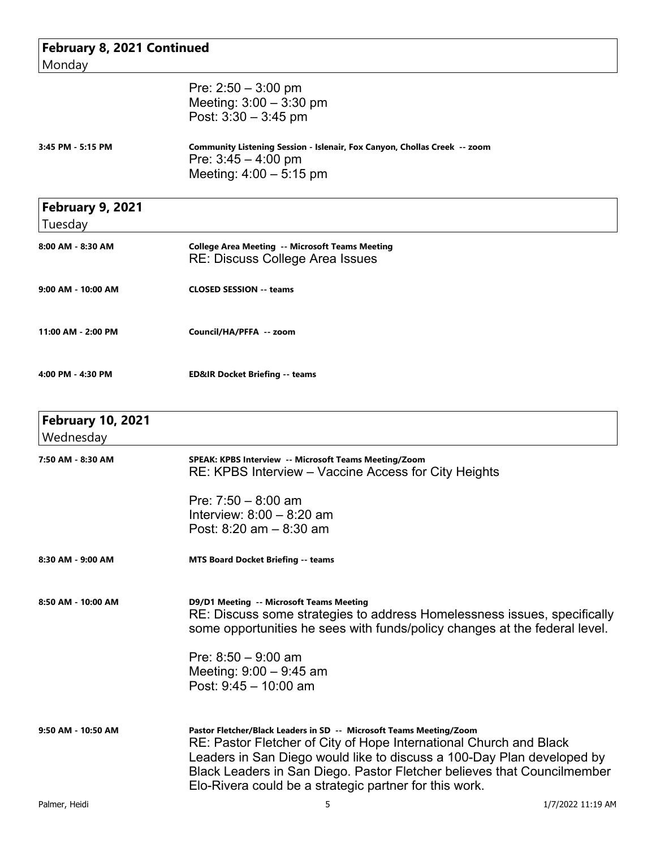| February 8, 2021 Continued<br>Monday  |                                                                                                                                                                                                                                                                                                                                                          |                   |
|---------------------------------------|----------------------------------------------------------------------------------------------------------------------------------------------------------------------------------------------------------------------------------------------------------------------------------------------------------------------------------------------------------|-------------------|
|                                       | Pre: $2:50 - 3:00$ pm<br>Meeting: $3:00 - 3:30$ pm<br>Post: $3:30 - 3:45$ pm                                                                                                                                                                                                                                                                             |                   |
| 3:45 PM - 5:15 PM                     | Community Listening Session - Islenair, Fox Canyon, Chollas Creek -- zoom<br>Pre: $3:45 - 4:00$ pm<br>Meeting: $4:00 - 5:15$ pm                                                                                                                                                                                                                          |                   |
| <b>February 9, 2021</b><br>Tuesday    |                                                                                                                                                                                                                                                                                                                                                          |                   |
| 8:00 AM - 8:30 AM                     | <b>College Area Meeting -- Microsoft Teams Meeting</b><br>RE: Discuss College Area Issues                                                                                                                                                                                                                                                                |                   |
| 9:00 AM - 10:00 AM                    | <b>CLOSED SESSION -- teams</b>                                                                                                                                                                                                                                                                                                                           |                   |
| 11:00 AM - 2:00 PM                    | Council/HA/PFFA -- zoom                                                                                                                                                                                                                                                                                                                                  |                   |
| 4:00 PM - 4:30 PM                     | <b>ED&amp;IR Docket Briefing -- teams</b>                                                                                                                                                                                                                                                                                                                |                   |
| <b>February 10, 2021</b><br>Wednesday |                                                                                                                                                                                                                                                                                                                                                          |                   |
| 7:50 AM - 8:30 AM                     | SPEAK: KPBS Interview -- Microsoft Teams Meeting/Zoom<br>RE: KPBS Interview – Vaccine Access for City Heights                                                                                                                                                                                                                                            |                   |
|                                       | Pre: $7:50 - 8:00$ am<br>Interview: $8:00 - 8:20$ am<br>Post: $8:20$ am $- 8:30$ am                                                                                                                                                                                                                                                                      |                   |
| 8:30 AM - 9:00 AM                     | MTS Board Docket Briefing -- teams                                                                                                                                                                                                                                                                                                                       |                   |
| 8:50 AM - 10:00 AM                    | D9/D1 Meeting -- Microsoft Teams Meeting<br>RE: Discuss some strategies to address Homelessness issues, specifically<br>some opportunities he sees with funds/policy changes at the federal level.                                                                                                                                                       |                   |
|                                       | Pre: $8:50 - 9:00$ am<br>Meeting: $9:00 - 9:45$ am<br>Post: $9:45 - 10:00$ am                                                                                                                                                                                                                                                                            |                   |
| 9:50 AM - 10:50 AM                    | Pastor Fletcher/Black Leaders in SD -- Microsoft Teams Meeting/Zoom<br>RE: Pastor Fletcher of City of Hope International Church and Black<br>Leaders in San Diego would like to discuss a 100-Day Plan developed by<br>Black Leaders in San Diego. Pastor Fletcher believes that Councilmember<br>Elo-Rivera could be a strategic partner for this work. |                   |
| Palmer, Heidi                         | 5                                                                                                                                                                                                                                                                                                                                                        | 1/7/2022 11:19 AM |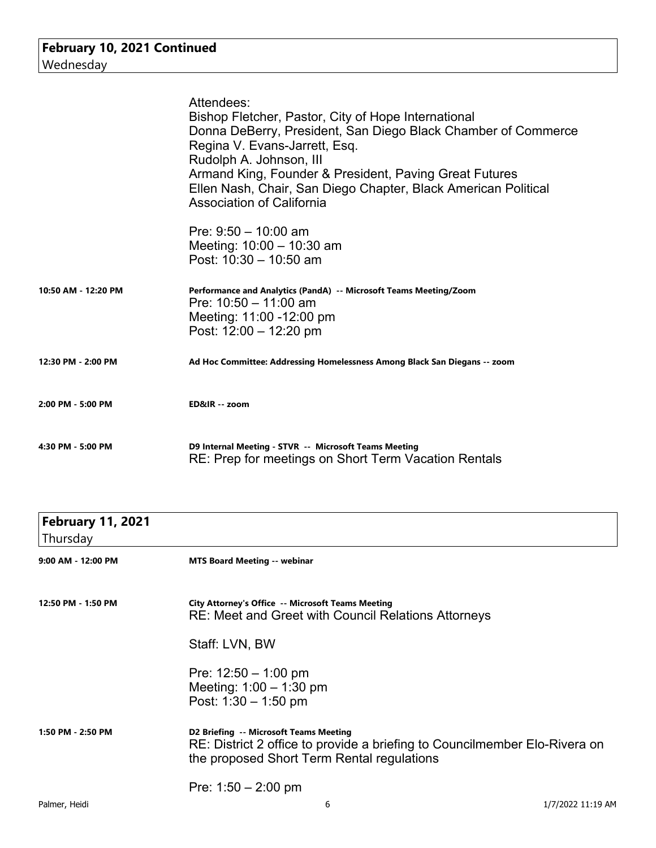|                     | Attendees:<br>Bishop Fletcher, Pastor, City of Hope International<br>Donna DeBerry, President, San Diego Black Chamber of Commerce<br>Regina V. Evans-Jarrett, Esq.<br>Rudolph A. Johnson, III<br>Armand King, Founder & President, Paving Great Futures<br>Ellen Nash, Chair, San Diego Chapter, Black American Political<br><b>Association of California</b> |
|---------------------|----------------------------------------------------------------------------------------------------------------------------------------------------------------------------------------------------------------------------------------------------------------------------------------------------------------------------------------------------------------|
|                     | Pre: $9:50 - 10:00$ am<br>Meeting: $10:00 - 10:30$ am<br>Post: $10:30 - 10:50$ am                                                                                                                                                                                                                                                                              |
| 10:50 AM - 12:20 PM | Performance and Analytics (PandA) -- Microsoft Teams Meeting/Zoom<br>Pre: $10:50 - 11:00$ am<br>Meeting: 11:00 -12:00 pm<br>Post: $12:00 - 12:20$ pm                                                                                                                                                                                                           |
| 12:30 PM - 2:00 PM  | Ad Hoc Committee: Addressing Homelessness Among Black San Diegans -- zoom                                                                                                                                                                                                                                                                                      |
| 2:00 PM - 5:00 PM   | ED&IR -- zoom                                                                                                                                                                                                                                                                                                                                                  |
| 4:30 PM - 5:00 PM   | D9 Internal Meeting - STVR -- Microsoft Teams Meeting<br>RE: Prep for meetings on Short Term Vacation Rentals                                                                                                                                                                                                                                                  |

| <b>February 11, 2021</b><br>Thursday |                                                                                                                                                                    |                   |
|--------------------------------------|--------------------------------------------------------------------------------------------------------------------------------------------------------------------|-------------------|
| 9:00 AM - 12:00 PM                   | <b>MTS Board Meeting -- webinar</b>                                                                                                                                |                   |
| 12:50 PM - 1:50 PM                   | City Attorney's Office -- Microsoft Teams Meeting<br><b>RE: Meet and Greet with Council Relations Attorneys</b>                                                    |                   |
|                                      | Staff: LVN, BW                                                                                                                                                     |                   |
|                                      | Pre: $12:50 - 1:00$ pm<br>Meeting: $1:00 - 1:30$ pm<br>Post: $1:30 - 1:50$ pm                                                                                      |                   |
| 1:50 PM - 2:50 PM                    | D2 Briefing -- Microsoft Teams Meeting<br>RE: District 2 office to provide a briefing to Councilmember Elo-Rivera on<br>the proposed Short Term Rental regulations |                   |
|                                      | Pre: $1:50 - 2:00$ pm                                                                                                                                              |                   |
| Palmer, Heidi                        | 6                                                                                                                                                                  | 1/7/2022 11:19 AM |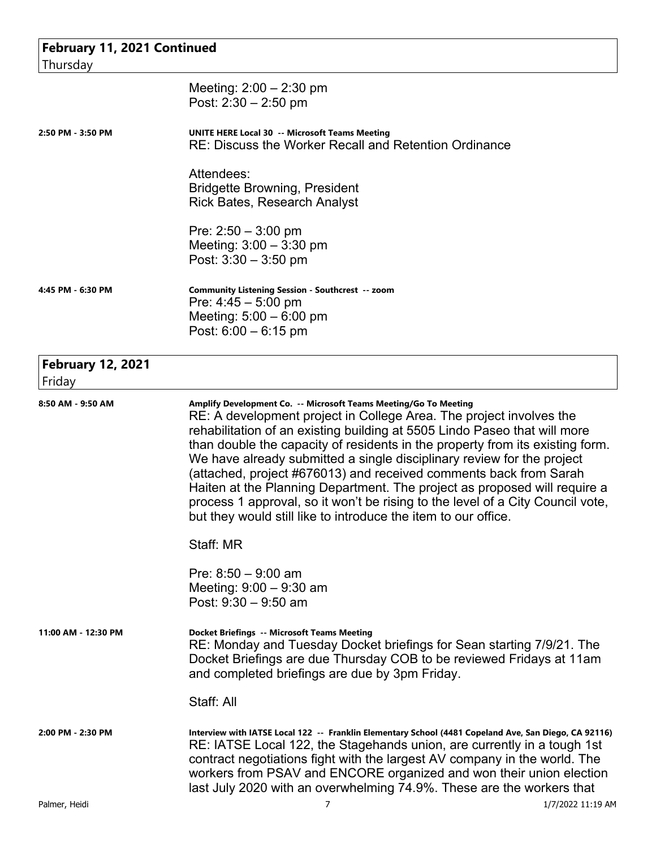| February 11, 2021 Continued<br>Thursday |                                                                                                                                                                                                                                                                                                                                                                                                                                                                                                                                                                                                                                                                                       |
|-----------------------------------------|---------------------------------------------------------------------------------------------------------------------------------------------------------------------------------------------------------------------------------------------------------------------------------------------------------------------------------------------------------------------------------------------------------------------------------------------------------------------------------------------------------------------------------------------------------------------------------------------------------------------------------------------------------------------------------------|
|                                         | Meeting: 2:00 - 2:30 pm<br>Post: $2:30 - 2:50$ pm                                                                                                                                                                                                                                                                                                                                                                                                                                                                                                                                                                                                                                     |
| 2:50 PM - 3:50 PM                       | <b>UNITE HERE Local 30 -- Microsoft Teams Meeting</b><br><b>RE: Discuss the Worker Recall and Retention Ordinance</b>                                                                                                                                                                                                                                                                                                                                                                                                                                                                                                                                                                 |
|                                         | Attendees:<br><b>Bridgette Browning, President</b><br>Rick Bates, Research Analyst                                                                                                                                                                                                                                                                                                                                                                                                                                                                                                                                                                                                    |
|                                         | Pre: $2:50 - 3:00$ pm<br>Meeting: $3:00 - 3:30$ pm<br>Post: $3:30 - 3:50$ pm                                                                                                                                                                                                                                                                                                                                                                                                                                                                                                                                                                                                          |
| 4:45 PM - 6:30 PM                       | Community Listening Session - Southcrest -- zoom<br>Pre: $4:45 - 5:00$ pm<br>Meeting: $5:00 - 6:00$ pm<br>Post: $6:00 - 6:15$ pm                                                                                                                                                                                                                                                                                                                                                                                                                                                                                                                                                      |
| <b>February 12, 2021</b><br>Friday      |                                                                                                                                                                                                                                                                                                                                                                                                                                                                                                                                                                                                                                                                                       |
| 8:50 AM - 9:50 AM                       | Amplify Development Co. -- Microsoft Teams Meeting/Go To Meeting<br>RE: A development project in College Area. The project involves the<br>rehabilitation of an existing building at 5505 Lindo Paseo that will more<br>than double the capacity of residents in the property from its existing form.<br>We have already submitted a single disciplinary review for the project<br>(attached, project #676013) and received comments back from Sarah<br>Haiten at the Planning Department. The project as proposed will require a<br>process 1 approval, so it won't be rising to the level of a City Council vote,<br>but they would still like to introduce the item to our office. |
|                                         | Staff: MR                                                                                                                                                                                                                                                                                                                                                                                                                                                                                                                                                                                                                                                                             |
|                                         | Pre: $8:50 - 9:00$ am<br>Meeting: $9:00 - 9:30$ am<br>Post: $9:30 - 9:50$ am                                                                                                                                                                                                                                                                                                                                                                                                                                                                                                                                                                                                          |
| 11:00 AM - 12:30 PM                     | <b>Docket Briefings -- Microsoft Teams Meeting</b><br>RE: Monday and Tuesday Docket briefings for Sean starting 7/9/21. The<br>Docket Briefings are due Thursday COB to be reviewed Fridays at 11am<br>and completed briefings are due by 3pm Friday.                                                                                                                                                                                                                                                                                                                                                                                                                                 |
|                                         | Staff: All                                                                                                                                                                                                                                                                                                                                                                                                                                                                                                                                                                                                                                                                            |
| 2:00 PM - 2:30 PM                       | Interview with IATSE Local 122 -- Franklin Elementary School (4481 Copeland Ave, San Diego, CA 92116)<br>RE: IATSE Local 122, the Stagehands union, are currently in a tough 1st<br>contract negotiations fight with the largest AV company in the world. The<br>workers from PSAV and ENCORE organized and won their union election<br>last July 2020 with an overwhelming 74.9%. These are the workers that                                                                                                                                                                                                                                                                         |
| Palmer, Heidi                           | 7<br>1/7/2022 11:19 AM                                                                                                                                                                                                                                                                                                                                                                                                                                                                                                                                                                                                                                                                |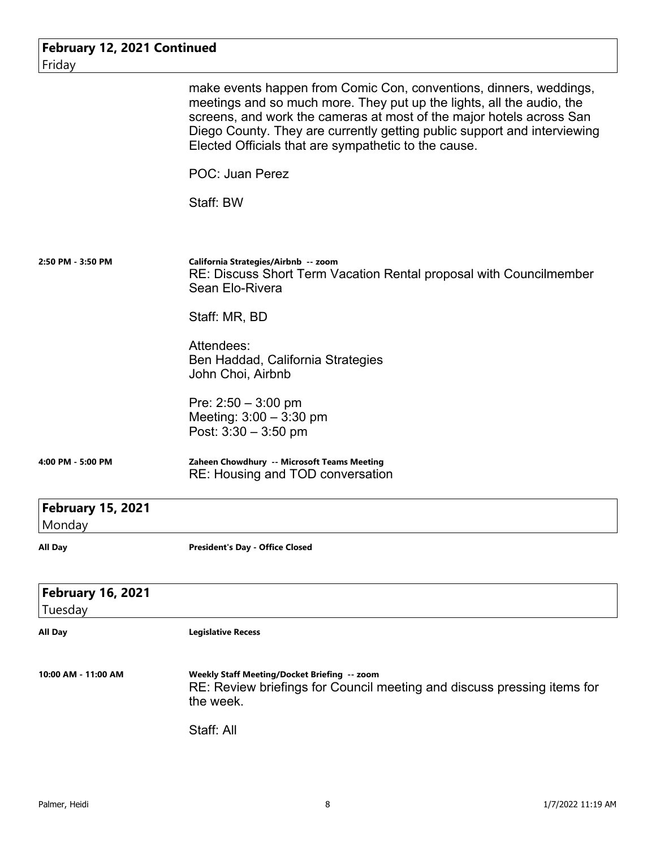| February 12, 2021 Continued         |                                                                                                                                                                                                                                                                                                                                                         |
|-------------------------------------|---------------------------------------------------------------------------------------------------------------------------------------------------------------------------------------------------------------------------------------------------------------------------------------------------------------------------------------------------------|
| Friday                              |                                                                                                                                                                                                                                                                                                                                                         |
|                                     | make events happen from Comic Con, conventions, dinners, weddings,<br>meetings and so much more. They put up the lights, all the audio, the<br>screens, and work the cameras at most of the major hotels across San<br>Diego County. They are currently getting public support and interviewing<br>Elected Officials that are sympathetic to the cause. |
|                                     | <b>POC: Juan Perez</b>                                                                                                                                                                                                                                                                                                                                  |
|                                     | Staff: BW                                                                                                                                                                                                                                                                                                                                               |
| 2:50 PM - 3:50 PM                   | California Strategies/Airbnb -- zoom<br>RE: Discuss Short Term Vacation Rental proposal with Councilmember<br>Sean Elo-Rivera                                                                                                                                                                                                                           |
|                                     | Staff: MR, BD                                                                                                                                                                                                                                                                                                                                           |
|                                     | Attendees:<br>Ben Haddad, California Strategies<br>John Choi, Airbnb                                                                                                                                                                                                                                                                                    |
|                                     | Pre: $2:50 - 3:00$ pm<br>Meeting: $3:00 - 3:30$ pm<br>Post: $3:30 - 3:50$ pm                                                                                                                                                                                                                                                                            |
| 4:00 PM - 5:00 PM                   | Zaheen Chowdhury -- Microsoft Teams Meeting<br>RE: Housing and TOD conversation                                                                                                                                                                                                                                                                         |
| <b>February 15, 2021</b><br>Monday  |                                                                                                                                                                                                                                                                                                                                                         |
| <b>All Day</b>                      | <b>President's Day - Office Closed</b>                                                                                                                                                                                                                                                                                                                  |
| <b>February 16, 2021</b><br>Tuesday |                                                                                                                                                                                                                                                                                                                                                         |
| <b>All Day</b>                      | <b>Legislative Recess</b>                                                                                                                                                                                                                                                                                                                               |
| 10:00 AM - 11:00 AM                 | Weekly Staff Meeting/Docket Briefing -- zoom<br>RE: Review briefings for Council meeting and discuss pressing items for<br>the week.                                                                                                                                                                                                                    |
|                                     | Staff: All                                                                                                                                                                                                                                                                                                                                              |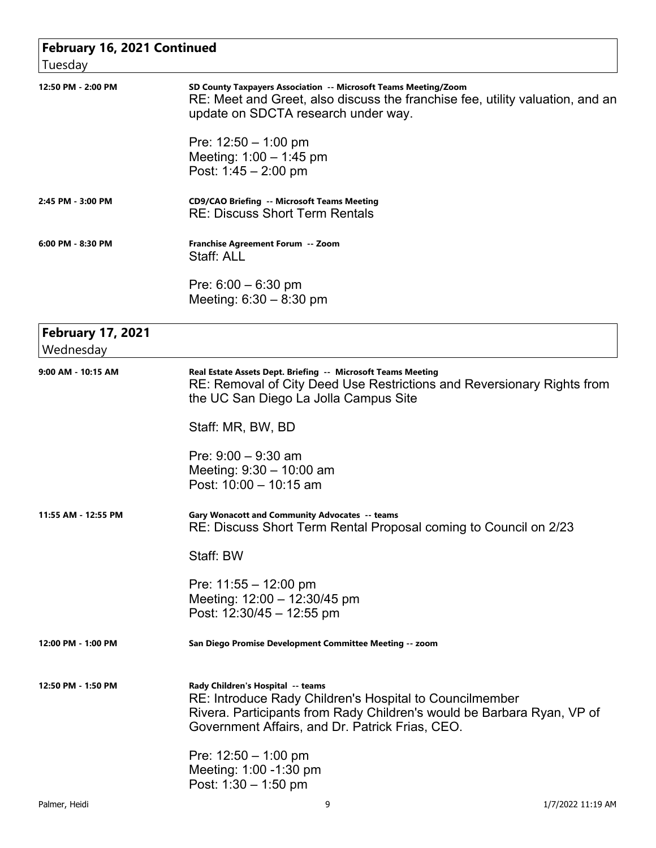| Tuesday                               | <b>February 16, 2021 Continued</b>                                                                                                                                                                                        |  |
|---------------------------------------|---------------------------------------------------------------------------------------------------------------------------------------------------------------------------------------------------------------------------|--|
| 12:50 PM - 2:00 PM                    | SD County Taxpayers Association -- Microsoft Teams Meeting/Zoom<br>RE: Meet and Greet, also discuss the franchise fee, utility valuation, and an<br>update on SDCTA research under way.                                   |  |
|                                       | Pre: $12:50 - 1:00$ pm<br>Meeting: $1:00 - 1:45$ pm<br>Post: $1:45 - 2:00$ pm                                                                                                                                             |  |
| 2:45 PM - 3:00 PM                     | <b>CD9/CAO Briefing -- Microsoft Teams Meeting</b><br><b>RE: Discuss Short Term Rentals</b>                                                                                                                               |  |
| 6:00 PM - 8:30 PM                     | Franchise Agreement Forum -- Zoom<br>Staff: ALL                                                                                                                                                                           |  |
|                                       | Pre: $6:00 - 6:30$ pm<br>Meeting: $6:30 - 8:30$ pm                                                                                                                                                                        |  |
| <b>February 17, 2021</b><br>Wednesday |                                                                                                                                                                                                                           |  |
| 9:00 AM - 10:15 AM                    | Real Estate Assets Dept. Briefing -- Microsoft Teams Meeting<br>RE: Removal of City Deed Use Restrictions and Reversionary Rights from<br>the UC San Diego La Jolla Campus Site                                           |  |
|                                       | Staff: MR, BW, BD                                                                                                                                                                                                         |  |
|                                       | Pre: $9:00 - 9:30$ am<br>Meeting: $9:30 - 10:00$ am<br>Post: $10:00 - 10:15$ am                                                                                                                                           |  |
| 11:55 AM - 12:55 PM                   | Gary Wonacott and Community Advocates -- teams<br>RE: Discuss Short Term Rental Proposal coming to Council on 2/23                                                                                                        |  |
|                                       | Staff: BW                                                                                                                                                                                                                 |  |
|                                       | Pre: $11:55 - 12:00$ pm<br>Meeting: 12:00 - 12:30/45 pm<br>Post: 12:30/45 - 12:55 pm                                                                                                                                      |  |
| 12:00 PM - 1:00 PM                    | San Diego Promise Development Committee Meeting -- zoom                                                                                                                                                                   |  |
| 12:50 PM - 1:50 PM                    | Rady Children's Hospital -- teams<br>RE: Introduce Rady Children's Hospital to Councilmember<br>Rivera. Participants from Rady Children's would be Barbara Ryan, VP of<br>Government Affairs, and Dr. Patrick Frias, CEO. |  |
|                                       | Pre: $12:50 - 1:00$ pm<br>Meeting: 1:00 -1:30 pm<br>Post: $1:30 - 1:50$ pm                                                                                                                                                |  |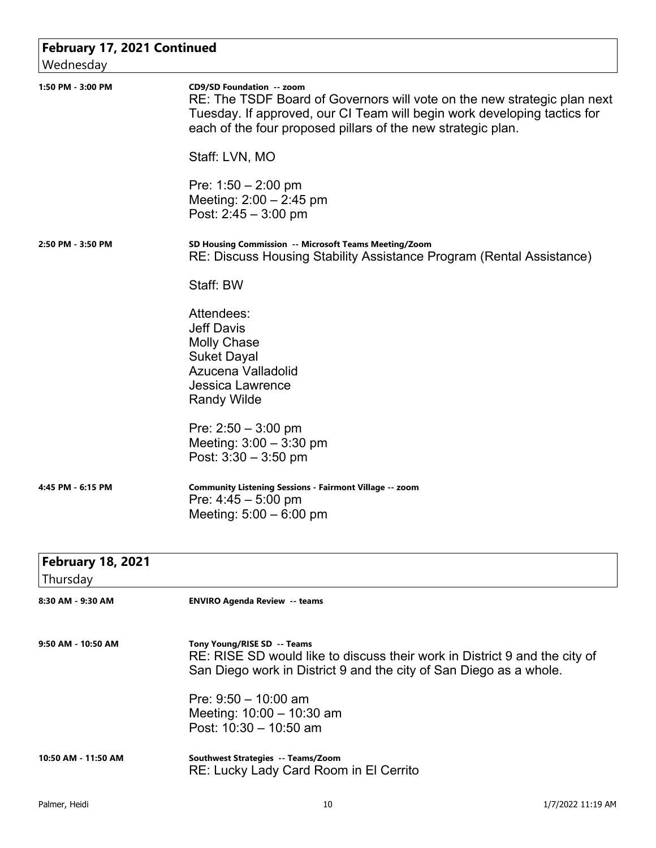| February 17, 2021 Continued<br>Wednesday |                                                                                                                                                                                                                                                                    |
|------------------------------------------|--------------------------------------------------------------------------------------------------------------------------------------------------------------------------------------------------------------------------------------------------------------------|
| 1:50 PM - 3:00 PM                        | <b>CD9/SD Foundation -- zoom</b><br>RE: The TSDF Board of Governors will vote on the new strategic plan next<br>Tuesday. If approved, our CI Team will begin work developing tactics for<br>each of the four proposed pillars of the new strategic plan.           |
|                                          | Staff: LVN, MO                                                                                                                                                                                                                                                     |
|                                          | Pre: $1:50 - 2:00$ pm<br>Meeting: $2:00 - 2:45$ pm<br>Post: $2:45 - 3:00$ pm                                                                                                                                                                                       |
| 2:50 PM - 3:50 PM                        | SD Housing Commission -- Microsoft Teams Meeting/Zoom<br>RE: Discuss Housing Stability Assistance Program (Rental Assistance)                                                                                                                                      |
|                                          | Staff: BW                                                                                                                                                                                                                                                          |
|                                          | Attendees:<br><b>Jeff Davis</b><br><b>Molly Chase</b><br><b>Suket Dayal</b><br>Azucena Valladolid<br><b>Jessica Lawrence</b><br><b>Randy Wilde</b>                                                                                                                 |
|                                          | Pre: $2:50 - 3:00$ pm<br>Meeting: $3:00 - 3:30$ pm<br>Post: $3:30 - 3:50$ pm                                                                                                                                                                                       |
| 4:45 PM - 6:15 PM                        | Community Listening Sessions - Fairmont Village -- zoom<br>Pre: $4:45 - 5:00$ pm<br>Meeting: $5:00 - 6:00$ pm                                                                                                                                                      |
| <b>February 18, 2021</b><br>Thursday     |                                                                                                                                                                                                                                                                    |
| 8:30 AM - 9:30 AM                        | <b>ENVIRO Agenda Review -- teams</b>                                                                                                                                                                                                                               |
| 9:50 AM - 10:50 AM                       | Tony Young/RISE SD -- Teams<br>RE: RISE SD would like to discuss their work in District 9 and the city of<br>San Diego work in District 9 and the city of San Diego as a whole.<br>Pre: $9:50 - 10:00$ am<br>Meeting: 10:00 - 10:30 am<br>Post: $10:30 - 10:50$ am |
| 10:50 AM - 11:50 AM                      | Southwest Strategies -- Teams/Zoom<br>RE: Lucky Lady Card Room in El Cerrito                                                                                                                                                                                       |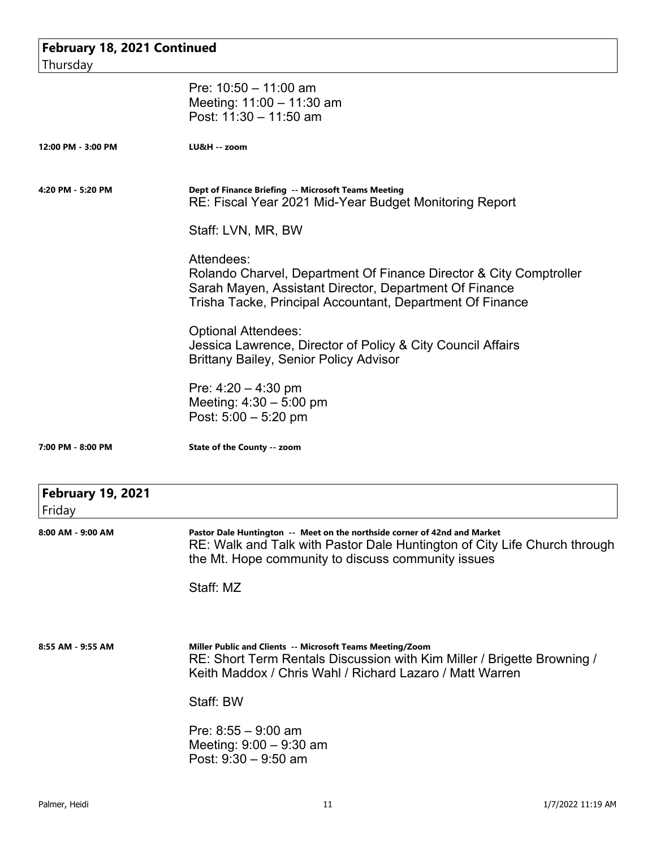| February 18, 2021 Continued        |                                                                                                                                                                                                              |
|------------------------------------|--------------------------------------------------------------------------------------------------------------------------------------------------------------------------------------------------------------|
| Thursday                           |                                                                                                                                                                                                              |
|                                    | Pre: $10:50 - 11:00$ am<br>Meeting: 11:00 - 11:30 am<br>Post: 11:30 - 11:50 am                                                                                                                               |
| 12:00 PM - 3:00 PM                 | LU&H -- zoom                                                                                                                                                                                                 |
| 4:20 PM - 5:20 PM                  | Dept of Finance Briefing -- Microsoft Teams Meeting<br>RE: Fiscal Year 2021 Mid-Year Budget Monitoring Report                                                                                                |
|                                    | Staff: LVN, MR, BW                                                                                                                                                                                           |
|                                    | Attendees:<br>Rolando Charvel, Department Of Finance Director & City Comptroller<br>Sarah Mayen, Assistant Director, Department Of Finance<br>Trisha Tacke, Principal Accountant, Department Of Finance      |
|                                    | <b>Optional Attendees:</b><br>Jessica Lawrence, Director of Policy & City Council Affairs<br><b>Brittany Bailey, Senior Policy Advisor</b>                                                                   |
|                                    | Pre: $4:20 - 4:30$ pm<br>Meeting: $4:30 - 5:00$ pm<br>Post: $5:00 - 5:20$ pm                                                                                                                                 |
| 7:00 PM - 8:00 PM                  | State of the County -- zoom                                                                                                                                                                                  |
| <b>February 19, 2021</b><br>Friday |                                                                                                                                                                                                              |
| 8:00 AM - 9:00 AM                  | Pastor Dale Huntington -- Meet on the northside corner of 42nd and Market<br>RE: Walk and Talk with Pastor Dale Huntington of City Life Church through<br>the Mt. Hope community to discuss community issues |
|                                    | Staff: MZ                                                                                                                                                                                                    |
|                                    |                                                                                                                                                                                                              |
| 8:55 AM - 9:55 AM                  | Miller Public and Clients -- Microsoft Teams Meeting/Zoom<br>RE: Short Term Rentals Discussion with Kim Miller / Brigette Browning /<br>Keith Maddox / Chris Wahl / Richard Lazaro / Matt Warren             |
|                                    | Staff: BW                                                                                                                                                                                                    |
|                                    | Pre: $8:55 - 9:00$ am<br>Meeting: $9:00 - 9:30$ am<br>Post: $9:30 - 9:50$ am                                                                                                                                 |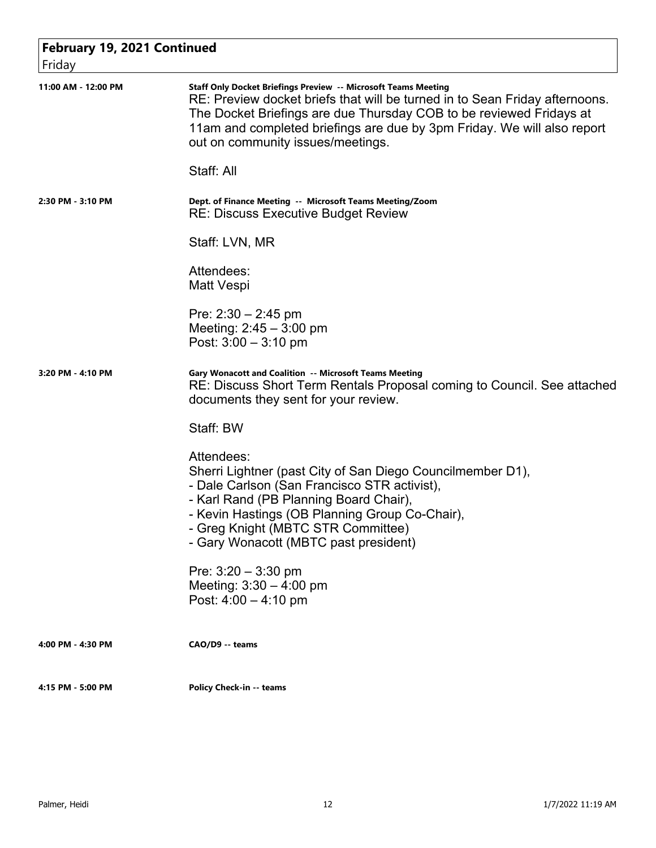| February 19, 2021 Continued |                                                                                                                                                                                                                                                                                                                                      |  |
|-----------------------------|--------------------------------------------------------------------------------------------------------------------------------------------------------------------------------------------------------------------------------------------------------------------------------------------------------------------------------------|--|
| Friday                      |                                                                                                                                                                                                                                                                                                                                      |  |
| 11:00 AM - 12:00 PM         | Staff Only Docket Briefings Preview -- Microsoft Teams Meeting<br>RE: Preview docket briefs that will be turned in to Sean Friday afternoons.<br>The Docket Briefings are due Thursday COB to be reviewed Fridays at<br>11am and completed briefings are due by 3pm Friday. We will also report<br>out on community issues/meetings. |  |
|                             | Staff: All                                                                                                                                                                                                                                                                                                                           |  |
| 2:30 PM - 3:10 PM           | Dept. of Finance Meeting -- Microsoft Teams Meeting/Zoom<br><b>RE: Discuss Executive Budget Review</b>                                                                                                                                                                                                                               |  |
|                             | Staff: LVN, MR                                                                                                                                                                                                                                                                                                                       |  |
|                             | Attendees:<br>Matt Vespi                                                                                                                                                                                                                                                                                                             |  |
|                             | Pre: $2:30 - 2:45$ pm<br>Meeting: $2:45 - 3:00$ pm<br>Post: $3:00 - 3:10$ pm                                                                                                                                                                                                                                                         |  |
| 3:20 PM - 4:10 PM           | <b>Gary Wonacott and Coalition -- Microsoft Teams Meeting</b><br>RE: Discuss Short Term Rentals Proposal coming to Council. See attached<br>documents they sent for your review.                                                                                                                                                     |  |
|                             | Staff: BW                                                                                                                                                                                                                                                                                                                            |  |
|                             | Attendees:<br>Sherri Lightner (past City of San Diego Councilmember D1),<br>- Dale Carlson (San Francisco STR activist),<br>- Karl Rand (PB Planning Board Chair),<br>- Kevin Hastings (OB Planning Group Co-Chair),<br>- Greg Knight (MBTC STR Committee)<br>- Gary Wonacott (MBTC past president)                                  |  |
|                             | Pre: $3:20 - 3:30$ pm<br>Meeting: $3:30 - 4:00$ pm<br>Post: $4:00 - 4:10$ pm                                                                                                                                                                                                                                                         |  |
| 4:00 PM - 4:30 PM           | CAO/D9 -- teams                                                                                                                                                                                                                                                                                                                      |  |
| 4:15 PM - 5:00 PM           | <b>Policy Check-in -- teams</b>                                                                                                                                                                                                                                                                                                      |  |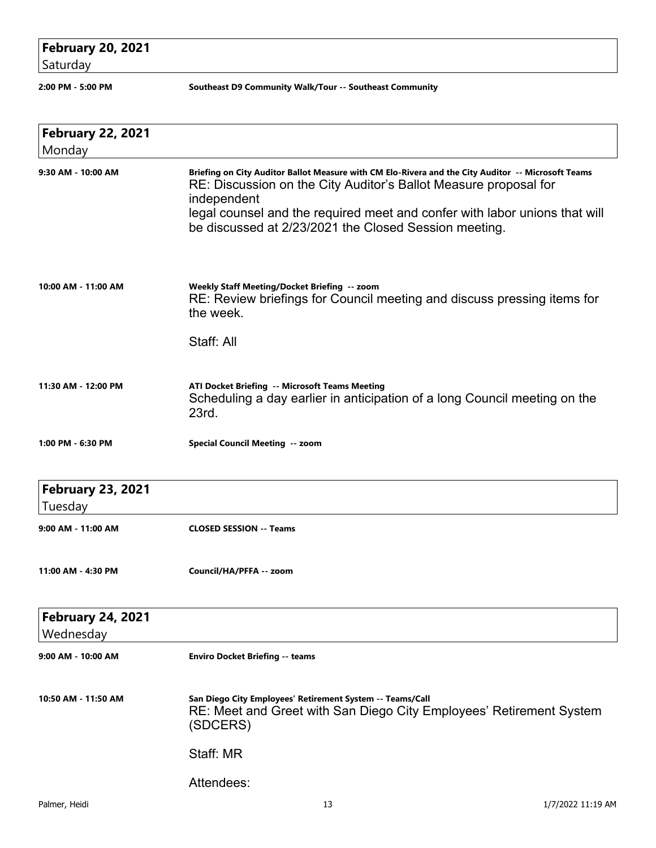## **February 20, 2021**

Saturday

**2:00 PM - 5:00 PM Southeast D9 Community Walk/Tour -- Southeast Community** 

| <b>February 22, 2021</b><br>Monday    |                                                                                                                                                                                                                                                                                                                              |
|---------------------------------------|------------------------------------------------------------------------------------------------------------------------------------------------------------------------------------------------------------------------------------------------------------------------------------------------------------------------------|
| 9:30 AM - 10:00 AM                    | Briefing on City Auditor Ballot Measure with CM Elo-Rivera and the City Auditor -- Microsoft Teams<br>RE: Discussion on the City Auditor's Ballot Measure proposal for<br>independent<br>legal counsel and the required meet and confer with labor unions that will<br>be discussed at 2/23/2021 the Closed Session meeting. |
| 10:00 AM - 11:00 AM                   | Weekly Staff Meeting/Docket Briefing -- zoom<br>RE: Review briefings for Council meeting and discuss pressing items for<br>the week.<br>Staff: All                                                                                                                                                                           |
| 11:30 AM - 12:00 PM                   | ATI Docket Briefing -- Microsoft Teams Meeting<br>Scheduling a day earlier in anticipation of a long Council meeting on the<br>23rd.                                                                                                                                                                                         |
| 1:00 PM - 6:30 PM                     | Special Council Meeting -- zoom                                                                                                                                                                                                                                                                                              |
| <b>February 23, 2021</b><br>Tuesday   |                                                                                                                                                                                                                                                                                                                              |
| 9:00 AM - 11:00 AM                    | <b>CLOSED SESSION -- Teams</b>                                                                                                                                                                                                                                                                                               |
| 11:00 AM - 4:30 PM                    | Council/HA/PFFA -- zoom                                                                                                                                                                                                                                                                                                      |
| <b>February 24, 2021</b><br>Wednesday |                                                                                                                                                                                                                                                                                                                              |
| 9:00 AM - 10:00 AM                    | <b>Enviro Docket Briefing -- teams</b>                                                                                                                                                                                                                                                                                       |
| 10:50 AM - 11:50 AM                   | San Diego City Employees' Retirement System -- Teams/Call<br>RE: Meet and Greet with San Diego City Employees' Retirement System<br>(SDCERS)                                                                                                                                                                                 |
|                                       | Staff: MR                                                                                                                                                                                                                                                                                                                    |
|                                       | Attendees:                                                                                                                                                                                                                                                                                                                   |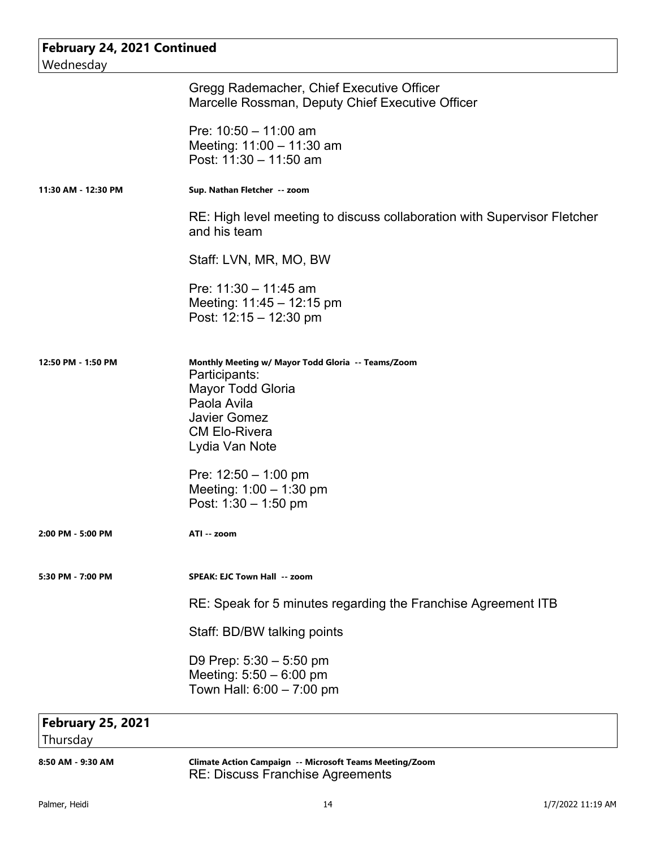| <b>February 24, 2021 Continued</b><br>Wednesday |                                                                                                                                                                          |  |
|-------------------------------------------------|--------------------------------------------------------------------------------------------------------------------------------------------------------------------------|--|
|                                                 | Gregg Rademacher, Chief Executive Officer<br>Marcelle Rossman, Deputy Chief Executive Officer                                                                            |  |
|                                                 | Pre: $10:50 - 11:00$ am<br>Meeting: 11:00 - 11:30 am<br>Post: 11:30 - 11:50 am                                                                                           |  |
| 11:30 AM - 12:30 PM                             | Sup. Nathan Fletcher -- zoom                                                                                                                                             |  |
|                                                 | RE: High level meeting to discuss collaboration with Supervisor Fletcher<br>and his team                                                                                 |  |
|                                                 | Staff: LVN, MR, MO, BW                                                                                                                                                   |  |
|                                                 | Pre: 11:30 - 11:45 am<br>Meeting: $11:45 - 12:15$ pm<br>Post: $12:15 - 12:30 \text{ pm}$                                                                                 |  |
| 12:50 PM - 1:50 PM                              | Monthly Meeting w/ Mayor Todd Gloria -- Teams/Zoom<br>Participants:<br>Mayor Todd Gloria<br>Paola Avila<br><b>Javier Gomez</b><br><b>CM Elo-Rivera</b><br>Lydia Van Note |  |
|                                                 | Pre: $12:50 - 1:00$ pm<br>Meeting: $1:00 - 1:30$ pm<br>Post: $1:30 - 1:50$ pm                                                                                            |  |
| 2:00 PM - 5:00 PM                               | ATI -- zoom                                                                                                                                                              |  |
| 5:30 PM - 7:00 PM                               | SPEAK: EJC Town Hall -- zoom                                                                                                                                             |  |
|                                                 | RE: Speak for 5 minutes regarding the Franchise Agreement ITB                                                                                                            |  |
|                                                 | Staff: BD/BW talking points                                                                                                                                              |  |
|                                                 | D9 Prep: $5:30 - 5:50$ pm<br>Meeting: $5:50 - 6:00$ pm<br>Town Hall: 6:00 - 7:00 pm                                                                                      |  |
| <b>February 25, 2021</b>                        |                                                                                                                                                                          |  |
| Thursday                                        |                                                                                                                                                                          |  |

**8:50 AM - 9:30 AM Climate Action Campaign -- Microsoft Teams Meeting/Zoom** RE: Discuss Franchise Agreements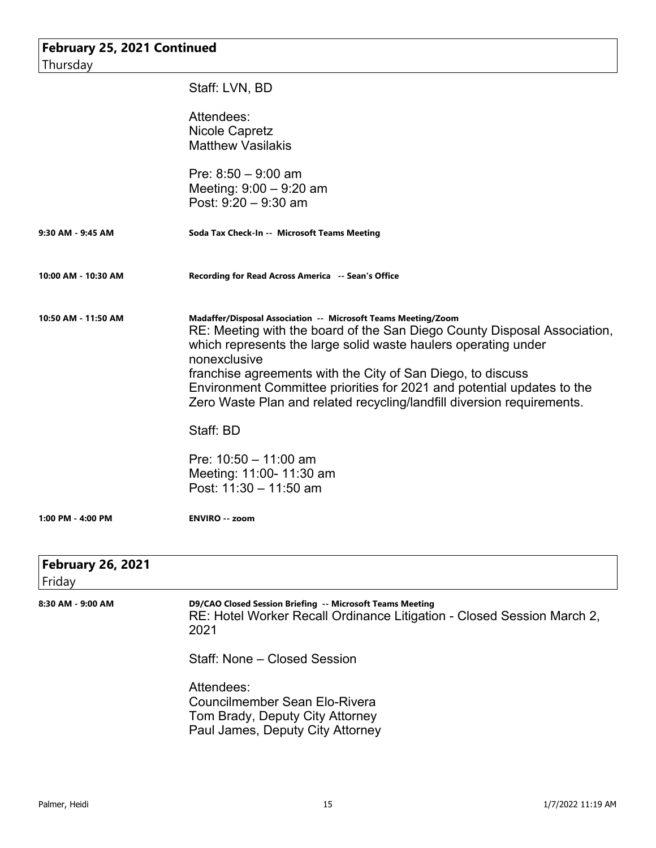| February 25, 2021 Continued |                                                                                                                                                                                                                             |  |
|-----------------------------|-----------------------------------------------------------------------------------------------------------------------------------------------------------------------------------------------------------------------------|--|
| Thursday                    |                                                                                                                                                                                                                             |  |
|                             | Staff: LVN, BD                                                                                                                                                                                                              |  |
|                             | Attendees:                                                                                                                                                                                                                  |  |
|                             | <b>Nicole Capretz</b><br><b>Matthew Vasilakis</b>                                                                                                                                                                           |  |
|                             |                                                                                                                                                                                                                             |  |
|                             | Pre: $8:50 - 9:00$ am                                                                                                                                                                                                       |  |
|                             | Meeting: $9:00 - 9:20$ am                                                                                                                                                                                                   |  |
|                             | Post: $9:20 - 9:30$ am                                                                                                                                                                                                      |  |
| 9:30 AM - 9:45 AM           | Soda Tax Check-In -- Microsoft Teams Meeting                                                                                                                                                                                |  |
| 10:00 AM - 10:30 AM         | Recording for Read Across America -- Sean's Office                                                                                                                                                                          |  |
| 10:50 AM - 11:50 AM         | Madaffer/Disposal Association -- Microsoft Teams Meeting/Zoom<br>RE: Meeting with the board of the San Diego County Disposal Association,<br>which represents the large solid waste haulers operating under<br>nonexclusive |  |
|                             | franchise agreements with the City of San Diego, to discuss<br>Environment Committee priorities for 2021 and potential updates to the<br>Zero Waste Plan and related recycling/landfill diversion requirements.             |  |
|                             | Staff: BD                                                                                                                                                                                                                   |  |
|                             | Pre: $10:50 - 11:00$ am                                                                                                                                                                                                     |  |
|                             | Meeting: 11:00- 11:30 am                                                                                                                                                                                                    |  |
|                             | Post: 11:30 - 11:50 am                                                                                                                                                                                                      |  |
| 1:00 PM - 4:00 PM           | <b>ENVIRO -- zoom</b>                                                                                                                                                                                                       |  |
| <b>February 26, 2021</b>    |                                                                                                                                                                                                                             |  |
| Friday                      |                                                                                                                                                                                                                             |  |
| 8:30 AM - 9:00 AM           | D9/CAO Closed Session Briefing -- Microsoft Teams Meeting<br>RE: Hotel Worker Recall Ordinance Litigation - Closed Session March 2,<br>2021                                                                                 |  |
|                             | Staff: None - Closed Session                                                                                                                                                                                                |  |
|                             | Attendees:<br><b>Councilmember Sean Elo-Rivera</b><br>Tom Brady, Deputy City Attorney<br>Paul James, Deputy City Attorney                                                                                                   |  |